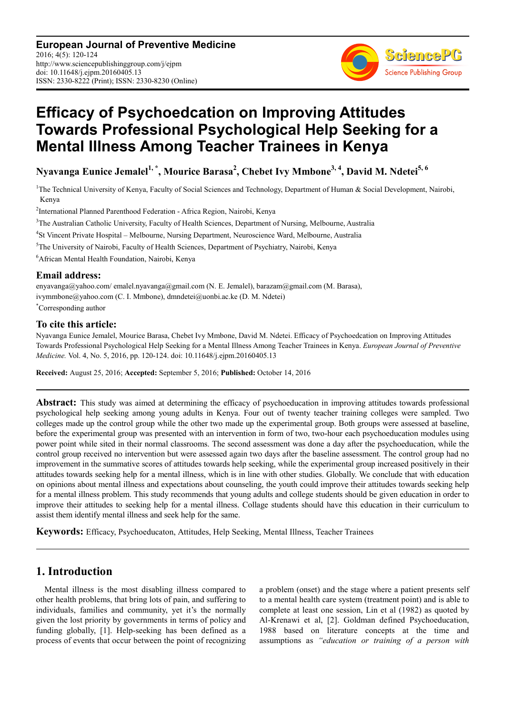**European Journal of Preventive Medicine** 2016; 4(5): 120-124 http://www.sciencepublishinggroup.com/j/ejpm doi: 10.11648/j.ejpm.20160405.13 ISSN: 2330-8222 (Print); ISSN: 2330-8230 (Online)



# **Efficacy of Psychoedcation on Improving Attitudes Towards Professional Psychological Help Seeking for a Mental Illness Among Teacher Trainees in Kenya**

**Nyavanga Eunice Jemalel1, \*, Mourice Barasa<sup>2</sup> , Chebet Ivy Mmbone3, 4, David M. Ndetei5, 6** 

<sup>1</sup>The Technical University of Kenya, Faculty of Social Sciences and Technology, Department of Human & Social Development, Nairobi, Kenya

2 International Planned Parenthood Federation - Africa Region, Nairobi, Kenya

<sup>3</sup>The Australian Catholic University, Faculty of Health Sciences, Department of Nursing, Melbourne, Australia

4 St Vincent Private Hospital – Melbourne, Nursing Department, Neuroscience Ward, Melbourne, Australia

<sup>5</sup>The University of Nairobi, Faculty of Health Sciences, Department of Psychiatry, Nairobi, Kenya

<sup>6</sup>African Mental Health Foundation, Nairobi, Kenya

## **Email address:**

enyavanga@yahoo.com/ emalel.nyavanga@gmail.com (N. E. Jemalel), barazam@gmail.com (M. Barasa), ivymmbone@yahoo.com (C. I. Mmbone), dmndetei@uonbi.ac.ke (D. M. Ndetei)

\*Corresponding author

#### **To cite this article:**

Nyavanga Eunice Jemalel, Mourice Barasa, Chebet Ivy Mmbone, David M. Ndetei. Efficacy of Psychoedcation on Improving Attitudes Towards Professional Psychological Help Seeking for a Mental Illness Among Teacher Trainees in Kenya. *European Journal of Preventive Medicine.* Vol. 4, No. 5, 2016, pp. 120-124. doi: 10.11648/j.ejpm.20160405.13

**Received:** August 25, 2016; **Accepted:** September 5, 2016; **Published:** October 14, 2016

Abstract: This study was aimed at determining the efficacy of psychoeducation in improving attitudes towards professional psychological help seeking among young adults in Kenya. Four out of twenty teacher training colleges were sampled. Two colleges made up the control group while the other two made up the experimental group. Both groups were assessed at baseline, before the experimental group was presented with an intervention in form of two, two-hour each psychoeducation modules using power point while sited in their normal classrooms. The second assessment was done a day after the psychoeducation, while the control group received no intervention but were assessed again two days after the baseline assessment. The control group had no improvement in the summative scores of attitudes towards help seeking, while the experimental group increased positively in their attitudes towards seeking help for a mental illness, which is in line with other studies. Globally. We conclude that with education on opinions about mental illness and expectations about counseling, the youth could improve their attitudes towards seeking help for a mental illness problem. This study recommends that young adults and college students should be given education in order to improve their attitudes to seeking help for a mental illness. Collage students should have this education in their curriculum to assist them identify mental illness and seek help for the same.

**Keywords:** Efficacy, Psychoeducaton, Attitudes, Help Seeking, Mental Illness, Teacher Trainees

# **1. Introduction**

Mental illness is the most disabling illness compared to other health problems, that bring lots of pain, and suffering to individuals, families and community, yet it's the normally given the lost priority by governments in terms of policy and funding globally, [1]. Help-seeking has been defined as a process of events that occur between the point of recognizing a problem (onset) and the stage where a patient presents self to a mental health care system (treatment point) and is able to complete at least one session, Lin et al (1982) as quoted by Al-Krenawi et al, [2]. Goldman defined Psychoeducation, 1988 based on literature concepts at the time and assumptions as *"education or training of a person with*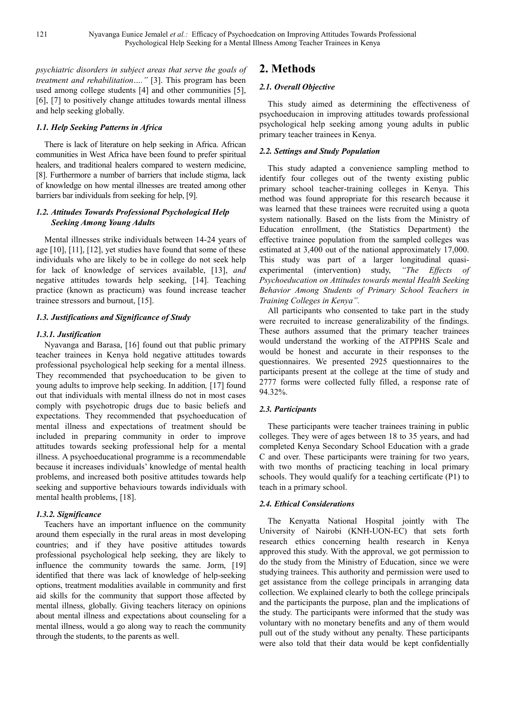*psychiatric disorders in subject areas that serve the goals of treatment and rehabilitation…."* [3]. This program has been used among college students [4] and other communities [5], [6], [7] to positively change attitudes towards mental illness and help seeking globally.

#### *1.1. Help Seeking Patterns in Africa*

There is lack of literature on help seeking in Africa. African communities in West Africa have been found to prefer spiritual healers, and traditional healers compared to western medicine, [8]. Furthermore a number of barriers that include stigma, lack of knowledge on how mental illnesses are treated among other barriers bar individuals from seeking for help, [9].

## *1.2. Attitudes Towards Professional Psychological Help Seeking Among Young Adults*

Mental illnesses strike individuals between 14-24 years of age [10], [11], [12], yet studies have found that some of these individuals who are likely to be in college do not seek help for lack of knowledge of services available, [13], *and* negative attitudes towards help seeking, [14]. Teaching practice (known as practicum) was found increase teacher trainee stressors and burnout, [15].

#### *1.3. Justifications and Significance of Study*

## *1.3.1. Justification*

Nyavanga and Barasa, [16] found out that public primary teacher trainees in Kenya hold negative attitudes towards professional psychological help seeking for a mental illness. They recommended that psychoeducation to be given to young adults to improve help seeking. In addition*,* [17] found out that individuals with mental illness do not in most cases comply with psychotropic drugs due to basic beliefs and expectations. They recommended that psychoeducation of mental illness and expectations of treatment should be included in preparing community in order to improve attitudes towards seeking professional help for a mental illness. A psychoeducational programme is a recommendable because it increases individuals' knowledge of mental health problems, and increased both positive attitudes towards help seeking and supportive behaviours towards individuals with mental health problems, [18].

#### *1.3.2. Significance*

Teachers have an important influence on the community around them especially in the rural areas in most developing countries; and if they have positive attitudes towards professional psychological help seeking, they are likely to influence the community towards the same. Jorm, [19] identified that there was lack of knowledge of help-seeking options, treatment modalities available in community and first aid skills for the community that support those affected by mental illness, globally. Giving teachers literacy on opinions about mental illness and expectations about counseling for a mental illness, would a go along way to reach the community through the students, to the parents as well.

# **2. Methods**

## *2.1. Overall Objective*

This study aimed as determining the effectiveness of psychoeducaion in improving attitudes towards professional psychological help seeking among young adults in public primary teacher trainees in Kenya.

#### *2.2. Settings and Study Population*

This study adapted a convenience sampling method to identify four colleges out of the twenty existing public primary school teacher-training colleges in Kenya. This method was found appropriate for this research because it was learned that these trainees were recruited using a quota system nationally. Based on the lists from the Ministry of Education enrollment, (the Statistics Department) the effective trainee population from the sampled colleges was estimated at 3,400 out of the national approximately 17,000. This study was part of a larger longitudinal quasi-<br>experimental (intervention) study, "The Effects of experimental (intervention) study, *"The Effects of Psychoeducation on Attitudes towards mental Health Seeking Behavior Among Students of Primary School Teachers in Training Colleges in Kenya".* 

All participants who consented to take part in the study were recruited to increase generalizability of the findings. These authors assumed that the primary teacher trainees would understand the working of the ATPPHS Scale and would be honest and accurate in their responses to the questionnaires. We presented 2925 questionnaires to the participants present at the college at the time of study and 2777 forms were collected fully filled, a response rate of 94.32%.

## *2.3. Participants*

These participants were teacher trainees training in public colleges. They were of ages between 18 to 35 years, and had completed Kenya Secondary School Education with a grade C and over. These participants were training for two years, with two months of practicing teaching in local primary schools. They would qualify for a teaching certificate (P1) to teach in a primary school.

#### *2.4. Ethical Considerations*

The Kenyatta National Hospital jointly with The University of Nairobi (KNH-UON-EC) that sets forth research ethics concerning health research in Kenya approved this study. With the approval, we got permission to do the study from the Ministry of Education, since we were studying trainees. This authority and permission were used to get assistance from the college principals in arranging data collection. We explained clearly to both the college principals and the participants the purpose, plan and the implications of the study. The participants were informed that the study was voluntary with no monetary benefits and any of them would pull out of the study without any penalty. These participants were also told that their data would be kept confidentially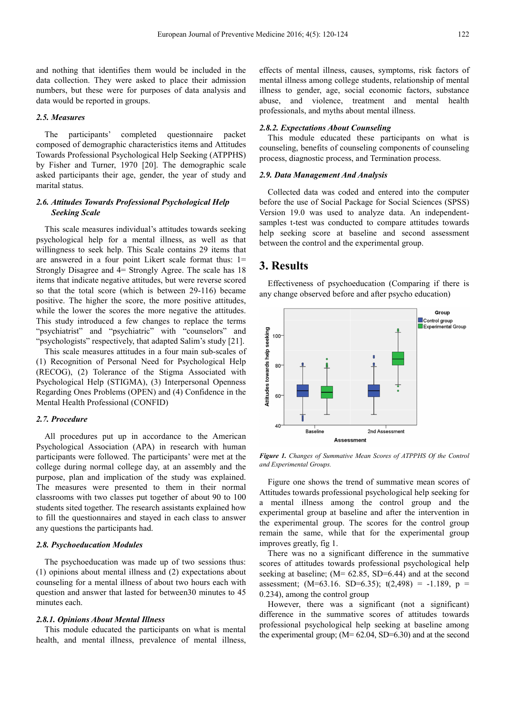#### *2.5. Measures*

The participants' completed questionnaire packet composed of demographic characteristics items and Attitudes Towards Professional Psychological Help Seeking (ATPPHS) by Fisher and Turner, 1970 [20]. The demographic scale asked participants their age, gender, the year of study and marital status.

#### *2.6. Attitudes Towards Professional Psychological Help Seeking Scale*

This scale measures individual's attitudes towards seeking psychological help for a mental illness, as well as that willingness to seek help. This Scale contains 29 items that are answered in a four point Likert scale format thus: 1= Strongly Disagree and 4= Strongly Agree. The scale has 18 items that indicate negative attitudes, but were reverse scored so that the total score (which is between 29-116) became positive. The higher the score, the more positive attitudes, while the lower the scores the more negative the attitudes. This study introduced a few changes to replace the terms "psychiatrist" and "psychiatric" with "counselors" and "psychologists" respectively, that adapted Salim's study [21].

This scale measures attitudes in a four main sub-scales of (1) Recognition of Personal Need for Psychological Help (RECOG), (2) Tolerance of the Stigma Associated with Psychological Help (STIGMA), (3) Interpersonal Openness Regarding Ones Problems (OPEN) and (4) Confidence in the Mental Health Professional (CONFID)

#### *2.7. Procedure*

All procedures put up in accordance to the American Psychological Association (APA) in research with human participants were followed. The participants' were met at the college during normal college day, at an assembly and the purpose, plan and implication of the study was explained. The measures were presented to them in their normal classrooms with two classes put together of about 90 to 100 students sited together. The research assistants explained how to fill the questionnaires and stayed in each class to answer any questions the participants had.

#### *2.8. Psychoeducation Modules*

The psychoeducation was made up of two sessions thus: (1) opinions about mental illness and (2) expectations about counseling for a mental illness of about two hours each with question and answer that lasted for between30 minutes to 45 minutes each.

#### *2.8.1. Opinions About Mental Illness*

This module educated the participants on what is mental health, and mental illness, prevalence of mental illness, effects of mental illness, causes, symptoms, risk factors of mental illness among college students, relationship of mental illness to gender, age, social economic factors, substance abuse, and violence, treatment and mental health professionals, and myths about mental illness.

#### *2.8.2. Expectations About Counseling*

This module educated these participants on what is counseling, benefits of counseling components of counseling process, diagnostic process, and Termination process.

#### *2.9. Data Management And Analysis*

Collected data was coded and entered into the computer before the use of Social Package for Social Sciences (SPSS) Version 19.0 was used to analyze data. An independentsamples t-test was conducted to compare attitudes towards help seeking score at baseline and second assessment between the control and the experimental group.

## **3. Results**

Effectiveness of psychoeducation (Comparing if there is any change observed before and after psycho education)



*Figure 1. Changes of Summative Mean Scores of ATPPHS Of the Control and Experimental Groups.* 

Figure one shows the trend of summative mean scores of Attitudes towards professional psychological help seeking for a mental illness among the control group and the experimental group at baseline and after the intervention in the experimental group. The scores for the control group remain the same, while that for the experimental group improves greatly, fig 1.

There was no a significant difference in the summative scores of attitudes towards professional psychological help seeking at baseline;  $(M= 62.85, SD=6.44)$  and at the second assessment;  $(M=63.16. SD=6.35)$ ;  $t(2,498) = -1.189$ ,  $p =$ 0.234), among the control group

However, there was a significant (not a significant) difference in the summative scores of attitudes towards professional psychological help seeking at baseline among the experimental group;  $(M= 62.04, SD=6.30)$  and at the second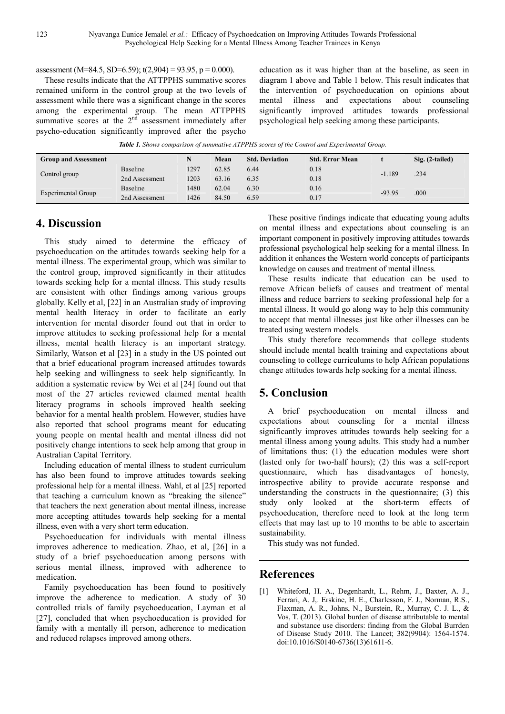assessment (M=84.5, SD=6.59);  $t(2,904) = 93.95$ ,  $p = 0.000$ ).

These results indicate that the ATTPPHS summative scores remained uniform in the control group at the two levels of assessment while there was a significant change in the scores among the experimental group. The mean ATTPPHS summative scores at the  $2<sup>nd</sup>$  assessment immediately after psycho-education significantly improved after the psycho

education as it was higher than at the baseline, as seen in diagram 1 above and Table 1 below. This result indicates that the intervention of psychoeducation on opinions about mental illness and expectations about counseling significantly improved attitudes towards professional psychological help seeking among these participants.

*Table 1. Shows comparison of summative ATPPHS scores of the Control and Experimental Group.* 

| <b>Group and Assessment</b> |                | N    | Mean  | <b>Std. Deviation</b> | <b>Std. Error Mean</b> |          | Sig. (2-tailed) |
|-----------------------------|----------------|------|-------|-----------------------|------------------------|----------|-----------------|
| Control group               | Baseline       | 1297 | 62.85 | 6.44                  | 0.18                   | $-1.189$ | .234            |
|                             | 2nd Assessment | 1203 | 63.16 | 6.35                  | 0.18                   |          |                 |
| Experimental Group          | Baseline       | 1480 | 62.04 | 6.30                  | 0.16                   | $-93.95$ | .000            |
|                             | 2nd Assessment | 426  | 84.50 | 6.59                  | 0.17                   |          |                 |

# **4. Discussion**

This study aimed to determine the efficacy of psychoeducation on the attitudes towards seeking help for a mental illness. The experimental group, which was similar to the control group, improved significantly in their attitudes towards seeking help for a mental illness. This study results are consistent with other findings among various groups globally. Kelly et al, [22] in an Australian study of improving mental health literacy in order to facilitate an early intervention for mental disorder found out that in order to improve attitudes to seeking professional help for a mental illness, mental health literacy is an important strategy. Similarly, Watson et al [23] in a study in the US pointed out that a brief educational program increased attitudes towards help seeking and willingness to seek help significantly. In addition a systematic review by Wei et al [24] found out that most of the 27 articles reviewed claimed mental health literacy programs in schools improved health seeking behavior for a mental health problem. However, studies have also reported that school programs meant for educating young people on mental health and mental illness did not positively change intentions to seek help among that group in Australian Capital Territory.

Including education of mental illness to student curriculum has also been found to improve attitudes towards seeking professional help for a mental illness. Wahl, et al [25] reported that teaching a curriculum known as "breaking the silence" that teachers the next generation about mental illness, increase more accepting attitudes towards help seeking for a mental illness, even with a very short term education.

Psychoeducation for individuals with mental illness improves adherence to medication. Zhao, et al, [26] in a study of a brief psychoeducation among persons with serious mental illness, improved with adherence to medication.

Family psychoeducation has been found to positively improve the adherence to medication. A study of 30 controlled trials of family psychoeducation, Layman et al [27], concluded that when psychoeducation is provided for family with a mentally ill person, adherence to medication and reduced relapses improved among others.

These positive findings indicate that educating young adults on mental illness and expectations about counseling is an important component in positively improving attitudes towards professional psychological help seeking for a mental illness. In addition it enhances the Western world concepts of participants knowledge on causes and treatment of mental illness.

These results indicate that education can be used to remove African beliefs of causes and treatment of mental illness and reduce barriers to seeking professional help for a mental illness. It would go along way to help this community to accept that mental illnesses just like other illnesses can be treated using western models.

This study therefore recommends that college students should include mental health training and expectations about counseling to college curriculums to help African populations change attitudes towards help seeking for a mental illness.

# **5. Conclusion**

A brief psychoeducation on mental illness and expectations about counseling for a mental illness significantly improves attitudes towards help seeking for a mental illness among young adults. This study had a number of limitations thus: (1) the education modules were short (lasted only for two-half hours); (2) this was a self-report questionnaire, which has disadvantages of honesty, introspective ability to provide accurate response and understanding the constructs in the questionnaire; (3) this study only looked at the short-term effects of psychoeducation, therefore need to look at the long term effects that may last up to 10 months to be able to ascertain sustainability.

This study was not funded.

# **References**

[1] Whiteford, H. A., Degenhardt, L., Rehm, J., Baxter, A. J., Ferrari, A. J,. Erskine, H. E., Charlesson, F. J., Norman, R.S., Flaxman, A. R., Johns, N., Burstein, R., Murray, C. J. L., & Vos, T. (2013). Global burden of disease attributable to mental and substance use disorders: finding from the Global Burrden of Disease Study 2010. The Lancet; 382(9904): 1564-1574. doi:10.1016/S0140-6736(13)61611-6.